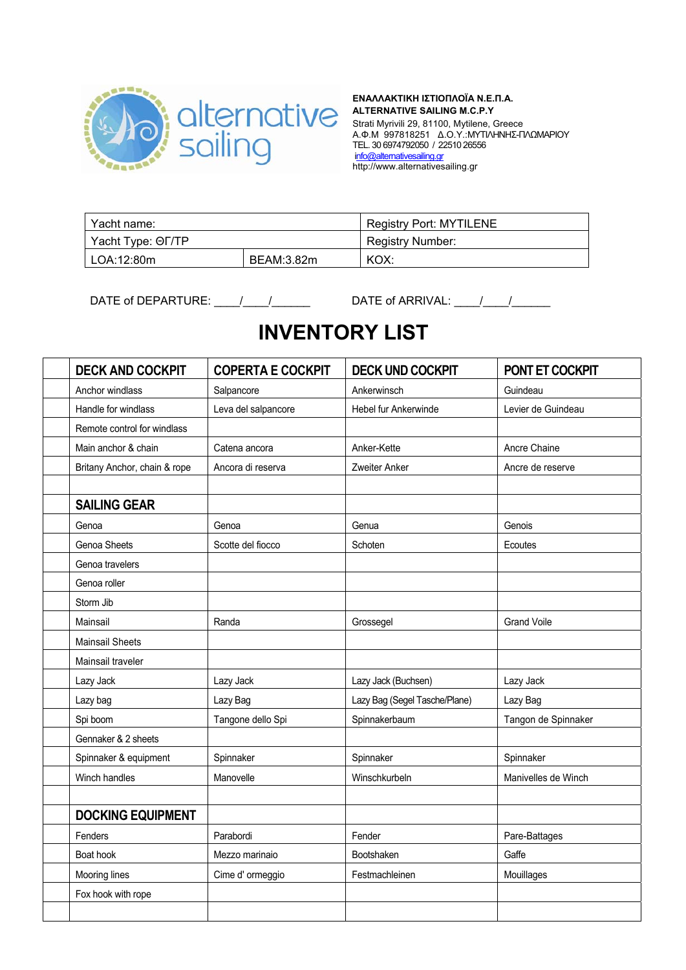

## **ΕΝΑΛΛΑΚΤΙΚΗ ΙΣΤΙΟΠΛΟΪΑ Ν.Ε.Π.Α. ALTERNATIVE SAILING M.C.P.Y**  Strati Myrivili 29, 81100, Mytilene, Greece Α.Φ.Μ 997818251 Δ.Ο.Υ.:ΜΥΤΙΛΗΝΗΣ-ΠΛΩΜΑΡΙΟΥ TEL. 30 6974792050 / 22510 26556

info@alternativesailing.gr http://www.alternativesailing.gr

| Yacht name:       |            | <b>Registry Port: MYTILENE</b> |  |
|-------------------|------------|--------------------------------|--|
| Yacht Type: OF/TP |            | <b>Registry Number:</b>        |  |
| LOA:12:80m        | BEAM:3.82m | KOX:                           |  |

DATE of DEPARTURE: \_\_\_\_\_/\_\_\_\_\_/\_\_\_\_\_\_\_\_\_\_\_\_\_\_\_DATE of ARRIVAL: \_\_\_\_\_/\_\_\_\_\_/\_\_\_\_\_\_

## **INVENTORY LIST**

| <b>DECK AND COCKPIT</b>      | <b>COPERTA E COCKPIT</b> | <b>DECK UND COCKPIT</b>       | PONT ET COCKPIT     |
|------------------------------|--------------------------|-------------------------------|---------------------|
| Anchor windlass              | Salpancore               | Ankerwinsch                   | Guindeau            |
| Handle for windlass          | Leva del salpancore      | Hebel fur Ankerwinde          | Levier de Guindeau  |
| Remote control for windlass  |                          |                               |                     |
| Main anchor & chain          | Catena ancora            | Anker-Kette                   | Ancre Chaine        |
| Britany Anchor, chain & rope | Ancora di reserva        | Zweiter Anker                 | Ancre de reserve    |
|                              |                          |                               |                     |
| <b>SAILING GEAR</b>          |                          |                               |                     |
| Genoa                        | Genoa                    | Genua                         | Genois              |
| Genoa Sheets                 | Scotte del fiocco        | Schoten                       | Ecoutes             |
| Genoa travelers              |                          |                               |                     |
| Genoa roller                 |                          |                               |                     |
| Storm Jib                    |                          |                               |                     |
| Mainsail                     | Randa                    | Grossegel                     | <b>Grand Voile</b>  |
| <b>Mainsail Sheets</b>       |                          |                               |                     |
| Mainsail traveler            |                          |                               |                     |
| Lazy Jack                    | Lazy Jack                | Lazy Jack (Buchsen)           | Lazy Jack           |
| Lazy bag                     | Lazy Bag                 | Lazy Bag (Segel Tasche/Plane) | Lazy Bag            |
| Spi boom                     | Tangone dello Spi        | Spinnakerbaum                 | Tangon de Spinnaker |
| Gennaker & 2 sheets          |                          |                               |                     |
| Spinnaker & equipment        | Spinnaker                | Spinnaker                     | Spinnaker           |
| Winch handles                | Manovelle                | Winschkurbeln                 | Manivelles de Winch |
|                              |                          |                               |                     |
| <b>DOCKING EQUIPMENT</b>     |                          |                               |                     |
| Fenders                      | Parabordi                | Fender                        | Pare-Battages       |
| Boat hook                    | Mezzo marinaio           | Bootshaken                    | Gaffe               |
| Mooring lines                | Cime d' ormeggio         | Festmachleinen                | Mouillages          |
| Fox hook with rope           |                          |                               |                     |
|                              |                          |                               |                     |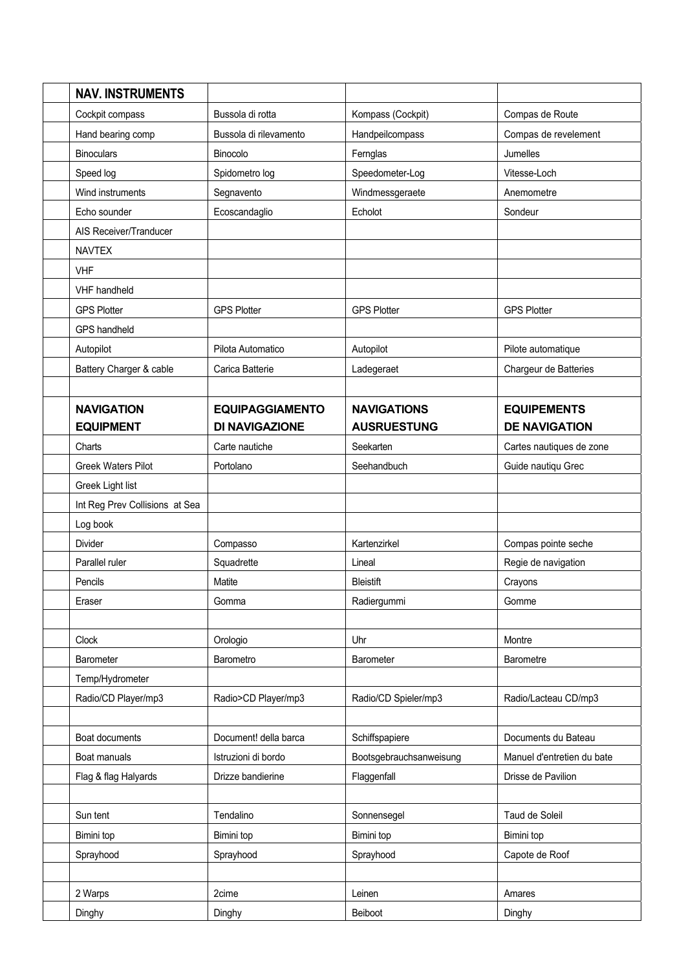| <b>NAV. INSTRUMENTS</b>        |                        |                         |                            |
|--------------------------------|------------------------|-------------------------|----------------------------|
| Cockpit compass                | Bussola di rotta       | Kompass (Cockpit)       | Compas de Route            |
| Hand bearing comp              | Bussola di rilevamento | Handpeilcompass         | Compas de revelement       |
| <b>Binoculars</b>              | Binocolo               | Fernglas                | Jumelles                   |
| Speed log                      | Spidometro log         | Speedometer-Log         | Vitesse-Loch               |
| Wind instruments               | Segnavento             | Windmessgeraete         | Anemometre                 |
| Echo sounder                   | Ecoscandaglio          | Echolot                 | Sondeur                    |
| AIS Receiver/Tranducer         |                        |                         |                            |
| <b>NAVTEX</b>                  |                        |                         |                            |
| <b>VHF</b>                     |                        |                         |                            |
| VHF handheld                   |                        |                         |                            |
| <b>GPS Plotter</b>             | <b>GPS Plotter</b>     | <b>GPS Plotter</b>      | <b>GPS Plotter</b>         |
| GPS handheld                   |                        |                         |                            |
| Autopilot                      | Pilota Automatico      | Autopilot               | Pilote automatique         |
| Battery Charger & cable        | Carica Batterie        | Ladegeraet              | Chargeur de Batteries      |
|                                |                        |                         |                            |
| <b>NAVIGATION</b>              | <b>EQUIPAGGIAMENTO</b> | <b>NAVIGATIONS</b>      | <b>EQUIPEMENTS</b>         |
| <b>EQUIPMENT</b>               | <b>DI NAVIGAZIONE</b>  | <b>AUSRUESTUNG</b>      | <b>DE NAVIGATION</b>       |
| Charts                         | Carte nautiche         | Seekarten               | Cartes nautiques de zone   |
| <b>Greek Waters Pilot</b>      | Portolano              | Seehandbuch             | Guide nautiqu Grec         |
| Greek Light list               |                        |                         |                            |
| Int Reg Prev Collisions at Sea |                        |                         |                            |
| Log book                       |                        |                         |                            |
| Divider                        | Compasso               | Kartenzirkel            | Compas pointe seche        |
| Parallel ruler                 | Squadrette             | Lineal                  | Regie de navigation        |
| Pencils                        | Matite                 | Bleistift               | Crayons                    |
| Eraser                         | Gomma                  | Radiergummi             | Gomme                      |
|                                |                        |                         |                            |
| Clock                          | Orologio               | Uhr                     | Montre                     |
| Barometer                      | Barometro              | Barometer               | Barometre                  |
| Temp/Hydrometer                |                        |                         |                            |
| Radio/CD Player/mp3            | Radio>CD Player/mp3    | Radio/CD Spieler/mp3    | Radio/Lacteau CD/mp3       |
|                                |                        |                         |                            |
| Boat documents                 | Document! della barca  | Schiffspapiere          | Documents du Bateau        |
| Boat manuals                   | Istruzioni di bordo    | Bootsgebrauchsanweisung | Manuel d'entretien du bate |
| Flag & flag Halyards           | Drizze bandierine      | Flaggenfall             | Drisse de Pavilion         |
|                                |                        |                         |                            |
| Sun tent                       | Tendalino              | Sonnensegel             | Taud de Soleil             |
| Bimini top                     | Bimini top             | Bimini top              | Bimini top                 |
| Sprayhood                      | Sprayhood              | Sprayhood               | Capote de Roof             |
|                                |                        |                         |                            |
| 2 Warps                        | 2cime                  | Leinen                  | Amares                     |
| Dinghy                         | Dinghy                 | Beiboot                 | Dinghy                     |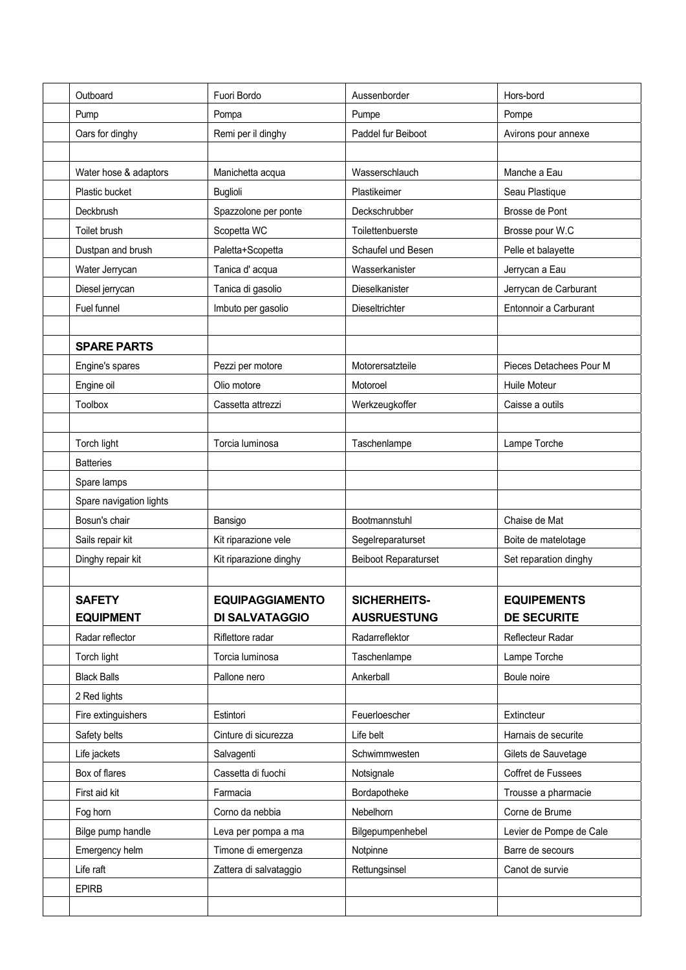| Outboard                | Fuori Bordo            | Aussenborder                | Hors-bord               |
|-------------------------|------------------------|-----------------------------|-------------------------|
| Pump                    | Pompa                  | Pumpe                       | Pompe                   |
| Oars for dinghy         | Remi per il dinghy     | Paddel fur Beiboot          | Avirons pour annexe     |
|                         |                        |                             |                         |
| Water hose & adaptors   | Manichetta acqua       | Wasserschlauch              | Manche a Eau            |
| Plastic bucket          | <b>Buglioli</b>        | Plastikeimer                | Seau Plastique          |
| Deckbrush               | Spazzolone per ponte   | Deckschrubber               | Brosse de Pont          |
| Toilet brush            | Scopetta WC            | Toilettenbuerste            | Brosse pour W.C         |
| Dustpan and brush       | Paletta+Scopetta       | Schaufel und Besen          | Pelle et balayette      |
| Water Jerrycan          | Tanica d'acqua         | Wasserkanister              | Jerrycan a Eau          |
| Diesel jerrycan         | Tanica di gasolio      | Dieselkanister              | Jerrycan de Carburant   |
| Fuel funnel             | Imbuto per gasolio     | Dieseltrichter              | Entonnoir a Carburant   |
|                         |                        |                             |                         |
| <b>SPARE PARTS</b>      |                        |                             |                         |
| Engine's spares         | Pezzi per motore       | Motorersatzteile            | Pieces Detachees Pour M |
| Engine oil              | Olio motore            | Motoroel                    | Huile Moteur            |
| <b>Toolbox</b>          | Cassetta attrezzi      | Werkzeugkoffer              | Caisse a outils         |
|                         |                        |                             |                         |
| Torch light             | Torcia luminosa        | Taschenlampe                | Lampe Torche            |
| <b>Batteries</b>        |                        |                             |                         |
| Spare lamps             |                        |                             |                         |
| Spare navigation lights |                        |                             |                         |
| Bosun's chair           | Bansigo                | Bootmannstuhl               | Chaise de Mat           |
| Sails repair kit        | Kit riparazione vele   | Segelreparaturset           | Boite de matelotage     |
| Dinghy repair kit       | Kit riparazione dinghy | <b>Beiboot Reparaturset</b> | Set reparation dinghy   |
|                         |                        |                             |                         |
| <b>SAFETY</b>           | <b>EQUIPAGGIAMENTO</b> | SICHERHEITS-                | <b>EQUIPEMENTS</b>      |
| <b>EQUIPMENT</b>        | <b>DI SALVATAGGIO</b>  | <b>AUSRUESTUNG</b>          | <b>DE SECURITE</b>      |
| Radar reflector         | Riflettore radar       | Radarreflektor              | Reflecteur Radar        |
| Torch light             | Torcia luminosa        | Taschenlampe                | Lampe Torche            |
| <b>Black Balls</b>      | Pallone nero           | Ankerball                   | Boule noire             |
| 2 Red lights            |                        |                             |                         |
| Fire extinguishers      | Estintori              | Feuerloescher               | Extincteur              |
| Safety belts            | Cinture di sicurezza   | Life belt                   | Harnais de securite     |
| Life jackets            | Salvagenti             | Schwimmwesten               | Gilets de Sauvetage     |
| Box of flares           | Cassetta di fuochi     | Notsignale                  | Coffret de Fussees      |
| First aid kit           | Farmacia               | Bordapotheke                | Trousse a pharmacie     |
| Fog horn                | Corno da nebbia        | Nebelhorn                   | Corne de Brume          |
| Bilge pump handle       | Leva per pompa a ma    | Bilgepumpenhebel            | Levier de Pompe de Cale |
| Emergency helm          | Timone di emergenza    | Notpinne                    | Barre de secours        |
| Life raft               | Zattera di salvataggio | Rettungsinsel               | Canot de survie         |
| <b>EPIRB</b>            |                        |                             |                         |
|                         |                        |                             |                         |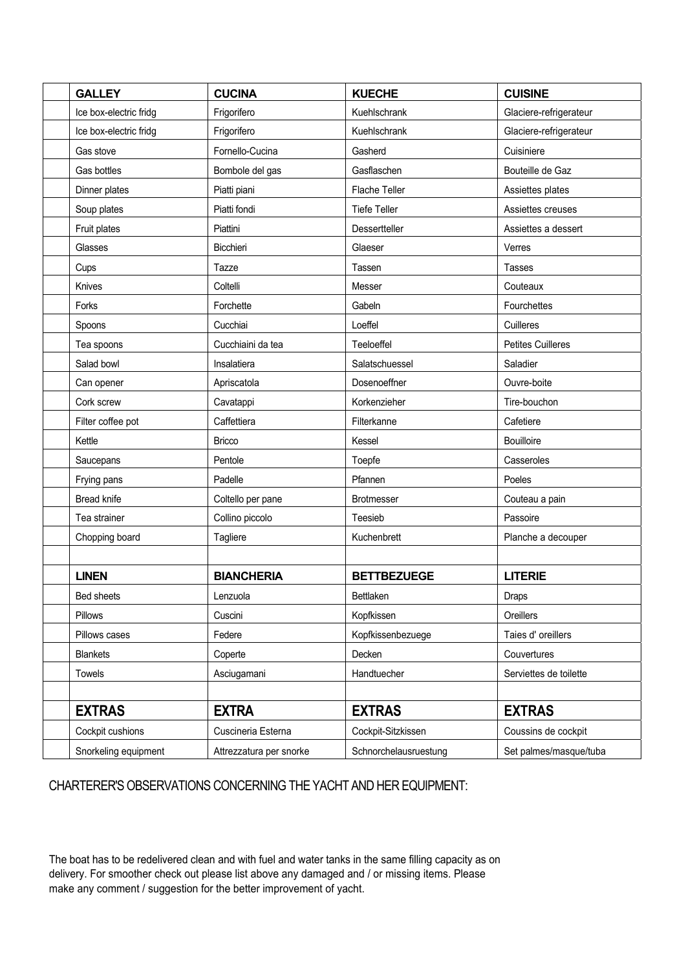| <b>GALLEY</b>          | <b>CUCINA</b>           | <b>KUECHE</b>         | <b>CUISINE</b>           |
|------------------------|-------------------------|-----------------------|--------------------------|
| Ice box-electric fridg | Frigorifero             | Kuehlschrank          | Glaciere-refrigerateur   |
| Ice box-electric fridg | Frigorifero             | Kuehlschrank          | Glaciere-refrigerateur   |
| Gas stove              | Fornello-Cucina         | Gasherd               | Cuisiniere               |
| Gas bottles            | Bombole del gas         | Gasflaschen           | Bouteille de Gaz         |
| Dinner plates          | Piatti piani            | Flache Teller         | Assiettes plates         |
| Soup plates            | Piatti fondi            | <b>Tiefe Teller</b>   | Assiettes creuses        |
| Fruit plates           | Piattini                | Dessertteller         | Assiettes a dessert      |
| Glasses                | Bicchieri               | Glaeser               | Verres                   |
| Cups                   | Tazze                   | Tassen                | <b>Tasses</b>            |
| Knives                 | Coltelli                | Messer                | Couteaux                 |
| Forks                  | Forchette               | Gabeln                | Fourchettes              |
| Spoons                 | Cucchiai                | Loeffel               | Cuilleres                |
| Tea spoons             | Cucchiaini da tea       | Teeloeffel            | <b>Petites Cuilleres</b> |
| Salad bowl             | Insalatiera             | Salatschuessel        | Saladier                 |
| Can opener             | Apriscatola             | Dosenoeffner          | Ouvre-boite              |
| Cork screw             | Cavatappi               | Korkenzieher          | Tire-bouchon             |
| Filter coffee pot      | Caffettiera             | Filterkanne           | Cafetiere                |
| Kettle                 | <b>Bricco</b>           | Kessel                | <b>Bouilloire</b>        |
| Saucepans              | Pentole                 | Toepfe                | Casseroles               |
| Frying pans            | Padelle                 | Pfannen               | Poeles                   |
| <b>Bread knife</b>     | Coltello per pane       | <b>Brotmesser</b>     | Couteau a pain           |
| Tea strainer           | Collino piccolo         | Teesieb               | Passoire                 |
| Chopping board         | Tagliere                | Kuchenbrett           | Planche a decouper       |
|                        |                         |                       |                          |
| <b>LINEN</b>           | <b>BIANCHERIA</b>       | <b>BETTBEZUEGE</b>    | <b>LITERIE</b>           |
| <b>Bed sheets</b>      | Lenzuola                | <b>Bettlaken</b>      | <b>Draps</b>             |
| Pillows                | Cuscini                 | Kopfkissen            | Oreillers                |
| Pillows cases          | Federe                  | Kopfkissenbezuege     | Taies d' oreillers       |
| <b>Blankets</b>        | Coperte                 | Decken                | Couvertures              |
| Towels                 | Asciugamani             | Handtuecher           | Serviettes de toilette   |
|                        |                         |                       |                          |
| <b>EXTRAS</b>          | <b>EXTRA</b>            | <b>EXTRAS</b>         | <b>EXTRAS</b>            |
| Cockpit cushions       | Cuscineria Esterna      | Cockpit-Sitzkissen    | Coussins de cockpit      |
| Snorkeling equipment   | Attrezzatura per snorke | Schnorchelausruestung | Set palmes/masque/tuba   |

CHARTERER'S OBSERVATIONS CONCERNING THE YACHT AND HER EQUIPMENT:

The boat has to be redelivered clean and with fuel and water tanks in the same filling capacity as on delivery. For smoother check out please list above any damaged and / or missing items. Please make any comment / suggestion for the better improvement of yacht.